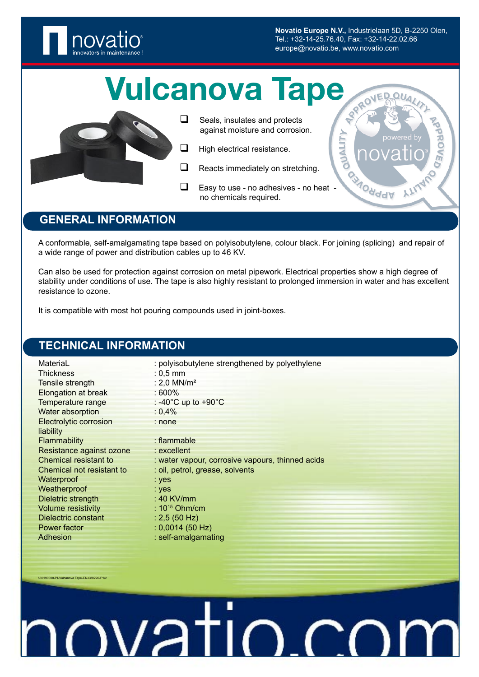

**Novatio Europe N.V.,** Industrielaan 5D, B-2250 Olen, Tel.: +32-14-25.76.40, Fax: +32-14-22.02.66 europe@novatio.be, www.novatio.com

**NALIT** 

**AOHddV** 

# Vulcanova Tape

- 
- $\Box$  Seals, insulates and protects against moisture and corrosion.
- $\Box$  High electrical resistance.
- **a** Reacts immediately on stretching.
- Easy to use no adhesives no heat no chemicals required.

# **GENERAL INFORMATION**

A conformable, self-amalgamating tape based on polyisobutylene, colour black. For joining (splicing) and repair of a wide range of power and distribution cables up to 46 KV.

Can also be used for protection against corrosion on metal pipework. Electrical properties show a high degree of stability under conditions of use. The tape is also highly resistant to prolonged immersion in water and has excellent resistance to ozone.

It is compatible with most hot pouring compounds used in joint-boxes.

## **TECHNICAL INFORMATION**

565190000-PI-Vulcanova Tape-EN-080226-

| MateriaL                  | : polyisobutylene strengthened by polyethylene   |  |
|---------------------------|--------------------------------------------------|--|
| <b>Thickness</b>          | $: 0.5$ mm                                       |  |
| Tensile strength          | : 2,0 $MN/m^2$                                   |  |
| Elongation at break       | $:600\%$                                         |  |
| Temperature range         | : -40 $^{\circ}$ C up to +90 $^{\circ}$ C        |  |
| Water absorption          | : 0,4%                                           |  |
| Electrolytic corrosion    | : none                                           |  |
| liability                 |                                                  |  |
| Flammability              | $:$ flammable                                    |  |
| Resistance against ozone  | $:$ excellent                                    |  |
| Chemical resistant to     | : water vapour, corrosive vapours, thinned acids |  |
| Chemical not resistant to | : oil, petrol, grease, solvents                  |  |
| Waterproof                | $:$ yes                                          |  |
| Weatherproof              | $:$ yes                                          |  |
| Dieletric strength        | : 40 KV/mm                                       |  |
| <b>Volume resistivity</b> | : $10^{15}$ Ohm/cm                               |  |
| Dielectric constant       | : 2,5(50 Hz)                                     |  |
| Power factor              | $: 0,0014$ (50 Hz)                               |  |
| Adhesion                  | : self-amalgamating                              |  |

# ovatio.co